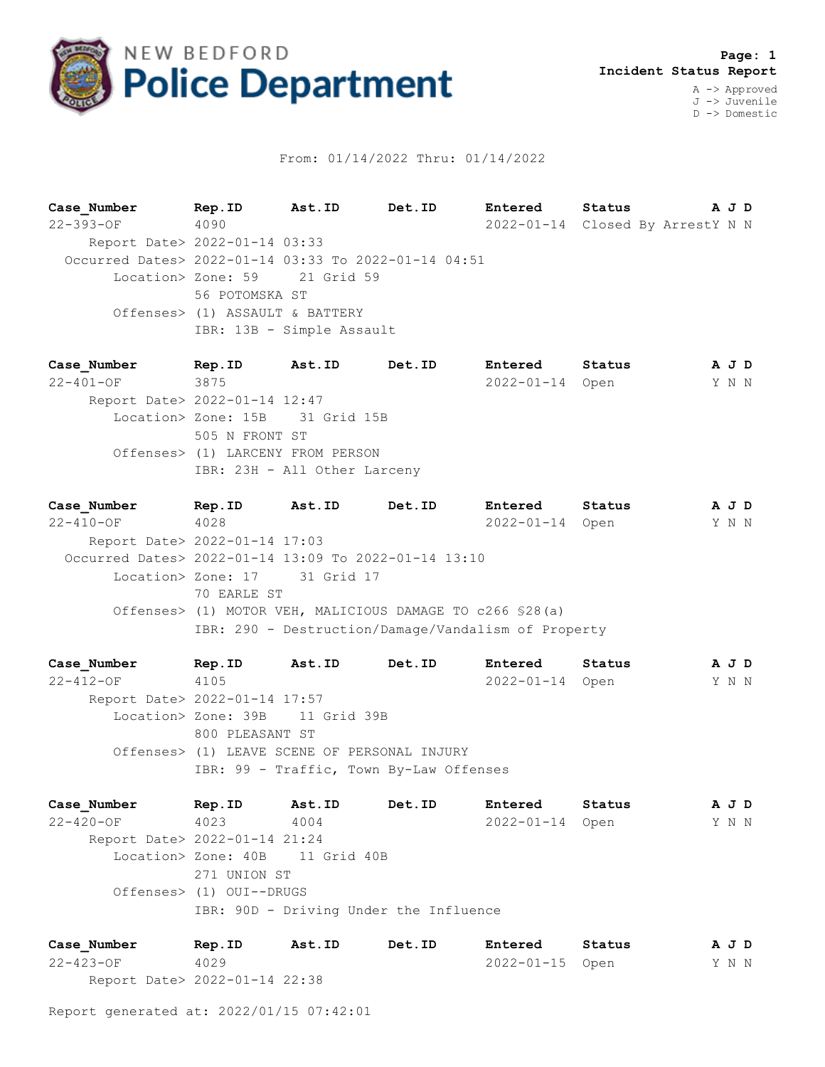

## From: 01/14/2022 Thru: 01/14/2022

**Case\_Number Rep.ID Ast.ID Det.ID Entered Status A J D** 22-393-OF 4090 2022-01-14 Closed By ArrestY N N Report Date> 2022-01-14 03:33 Occurred Dates> 2022-01-14 03:33 To 2022-01-14 04:51 Location> Zone: 59 21 Grid 59 56 POTOMSKA ST Offenses> (1) ASSAULT & BATTERY IBR: 13B - Simple Assault

**Case\_Number Rep.ID Ast.ID Det.ID Entered Status A J D** 22-401-OF 3875 2022-01-14 Open Y N N Report Date> 2022-01-14 12:47 Location> Zone: 15B 31 Grid 15B 505 N FRONT ST Offenses> (1) LARCENY FROM PERSON IBR: 23H - All Other Larceny

**Case\_Number Rep.ID Ast.ID Det.ID Entered Status A J D** 22-410-OF 4028 2022-01-14 Open Y N N Report Date> 2022-01-14 17:03 Occurred Dates> 2022-01-14 13:09 To 2022-01-14 13:10 Location> Zone: 17 31 Grid 17 70 EARLE ST Offenses> (1) MOTOR VEH, MALICIOUS DAMAGE TO c266 §28(a) IBR: 290 - Destruction/Damage/Vandalism of Property

**Case\_Number Rep.ID Ast.ID Det.ID Entered Status A J D** 22-412-OF 4105 2022-01-14 Open Y N N Report Date> 2022-01-14 17:57 Location> Zone: 39B 11 Grid 39B 800 PLEASANT ST Offenses> (1) LEAVE SCENE OF PERSONAL INJURY IBR: 99 - Traffic, Town By-Law Offenses

**Case\_Number Rep.ID Ast.ID Det.ID Entered Status A J D** 22-420-OF 4023 4004 2022-01-14 Open Y N N Report Date> 2022-01-14 21:24 Location> Zone: 40B 11 Grid 40B 271 UNION ST Offenses> (1) OUI--DRUGS IBR: 90D - Driving Under the Influence

**Case\_Number Rep.ID Ast.ID Det.ID Entered Status A J D** 22-423-OF 4029 2022-01-15 Open Y N N Report Date> 2022-01-14 22:38